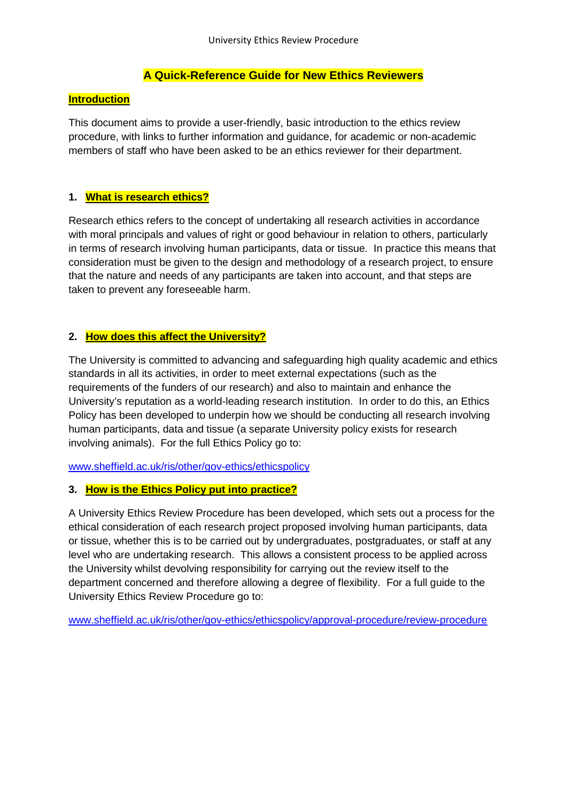# **A Quick-Reference Guide for New Ethics Reviewers**

#### **Introduction**

This document aims to provide a user-friendly, basic introduction to the ethics review procedure, with links to further information and guidance, for academic or non-academic members of staff who have been asked to be an ethics reviewer for their department.

### **1. What is research ethics?**

Research ethics refers to the concept of undertaking all research activities in accordance with moral principals and values of right or good behaviour in relation to others, particularly in terms of research involving human participants, data or tissue. In practice this means that consideration must be given to the design and methodology of a research project, to ensure that the nature and needs of any participants are taken into account, and that steps are taken to prevent any foreseeable harm.

# **2. How does this affect the University?**

The University is committed to advancing and safeguarding high quality academic and ethics standards in all its activities, in order to meet external expectations (such as the requirements of the funders of our research) and also to maintain and enhance the University's reputation as a world-leading research institution. In order to do this, an Ethics Policy has been developed to underpin how we should be conducting all research involving human participants, data and tissue (a separate University policy exists for research involving animals). For the full Ethics Policy go to:

[www.sheffield.ac.uk/ris/other/gov-ethics/ethicspolicy](http://www.sheffield.ac.uk/ris/other/gov-ethics/ethicspolicy)

### **3. How is the Ethics Policy put into practice?**

A University Ethics Review Procedure has been developed, which sets out a process for the ethical consideration of each research project proposed involving human participants, data or tissue, whether this is to be carried out by undergraduates, postgraduates, or staff at any level who are undertaking research. This allows a consistent process to be applied across the University whilst devolving responsibility for carrying out the review itself to the department concerned and therefore allowing a degree of flexibility. For a full guide to the University Ethics Review Procedure go to:

[www.sheffield.ac.uk/ris/other/gov-ethics/ethicspolicy/approval-procedure/review-procedure](http://www.sheffield.ac.uk/ris/other/gov-ethics/ethicspolicy/approval-procedure/review-procedure)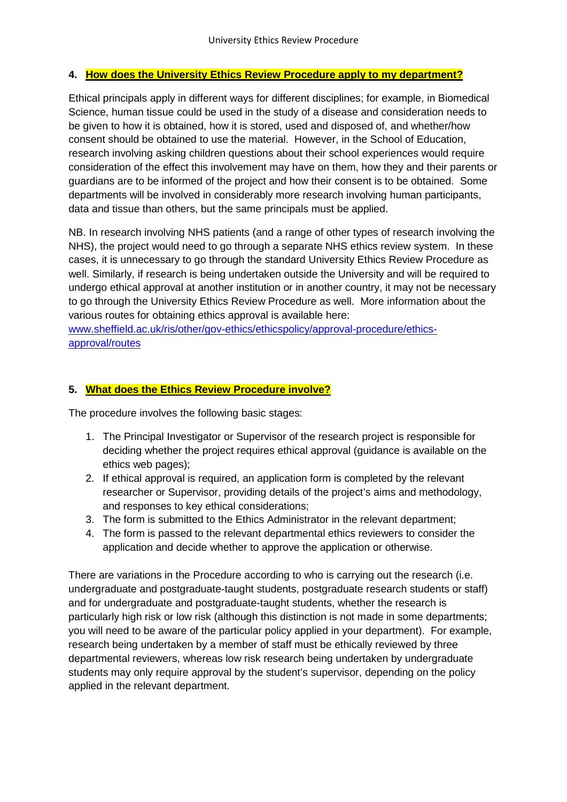# **4. How does the University Ethics Review Procedure apply to my department?**

Ethical principals apply in different ways for different disciplines; for example, in Biomedical Science, human tissue could be used in the study of a disease and consideration needs to be given to how it is obtained, how it is stored, used and disposed of, and whether/how consent should be obtained to use the material. However, in the School of Education, research involving asking children questions about their school experiences would require consideration of the effect this involvement may have on them, how they and their parents or guardians are to be informed of the project and how their consent is to be obtained. Some departments will be involved in considerably more research involving human participants, data and tissue than others, but the same principals must be applied.

NB. In research involving NHS patients (and a range of other types of research involving the NHS), the project would need to go through a separate NHS ethics review system. In these cases, it is unnecessary to go through the standard University Ethics Review Procedure as well. Similarly, if research is being undertaken outside the University and will be required to undergo ethical approval at another institution or in another country, it may not be necessary to go through the University Ethics Review Procedure as well. More information about the various routes for obtaining ethics approval is available here:

[www.sheffield.ac.uk/ris/other/gov-ethics/ethicspolicy/approval-procedure/ethics](http://www.sheffield.ac.uk/ris/other/gov-ethics/ethicspolicy/approval-procedure/ethics-approval/routes)[approval/routes](http://www.sheffield.ac.uk/ris/other/gov-ethics/ethicspolicy/approval-procedure/ethics-approval/routes)

# **5. What does the Ethics Review Procedure involve?**

The procedure involves the following basic stages:

- 1. The Principal Investigator or Supervisor of the research project is responsible for deciding whether the project requires ethical approval (guidance is available on the ethics web pages);
- 2. If ethical approval is required, an application form is completed by the relevant researcher or Supervisor, providing details of the project's aims and methodology, and responses to key ethical considerations;
- 3. The form is submitted to the Ethics Administrator in the relevant department;
- 4. The form is passed to the relevant departmental ethics reviewers to consider the application and decide whether to approve the application or otherwise.

There are variations in the Procedure according to who is carrying out the research (i.e. undergraduate and postgraduate-taught students, postgraduate research students or staff) and for undergraduate and postgraduate-taught students, whether the research is particularly high risk or low risk (although this distinction is not made in some departments; you will need to be aware of the particular policy applied in your department). For example, research being undertaken by a member of staff must be ethically reviewed by three departmental reviewers, whereas low risk research being undertaken by undergraduate students may only require approval by the student's supervisor, depending on the policy applied in the relevant department.